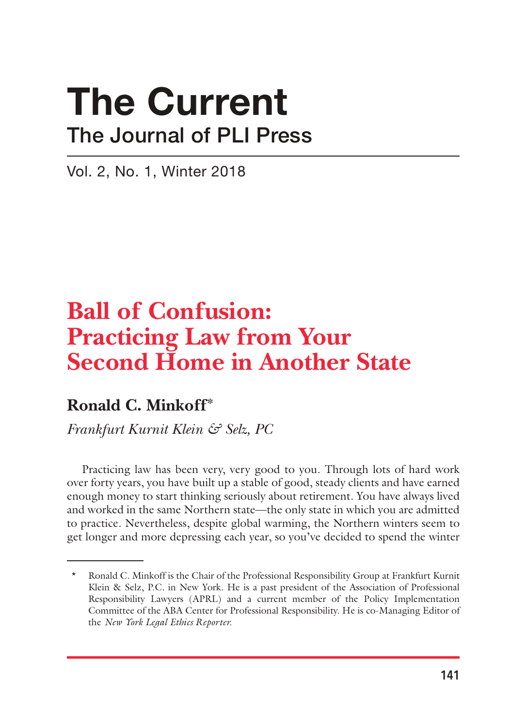# The Current The Journal of PLI Press

Vol. 2, No. 1, Winter 2018

# **Ball of Confusion: Practicing Law from Your Second Home in Another State**

### **Ronald C. Minkoff\***

*Frankfurt Kurnit Klein & Selz, PC*

Practicing law has been very, very good to you. Through lots of hard work over forty years, you have built up a stable of good, steady clients and have earned enough money to start thinking seriously about retirement. You have always lived and worked in the same Northern state—the only state in which you are admitted to practice. Nevertheless, despite global warming, the Northern winters seem to get longer and more depressing each year, so you've decided to spend the winter

<sup>\*</sup> Ronald C. Minkoff is the Chair of the Professional Responsibility Group at Frankfurt Kurnit Klein & Selz, P.C. in New York. He is a past president of the Association of Professional Responsibility Lawyers (APRL) and a current member of the Policy Implementation Committee of the ABA Center for Professional Responsibility. He is co-Managing Editor of the *New York Legal Ethics Reporter.*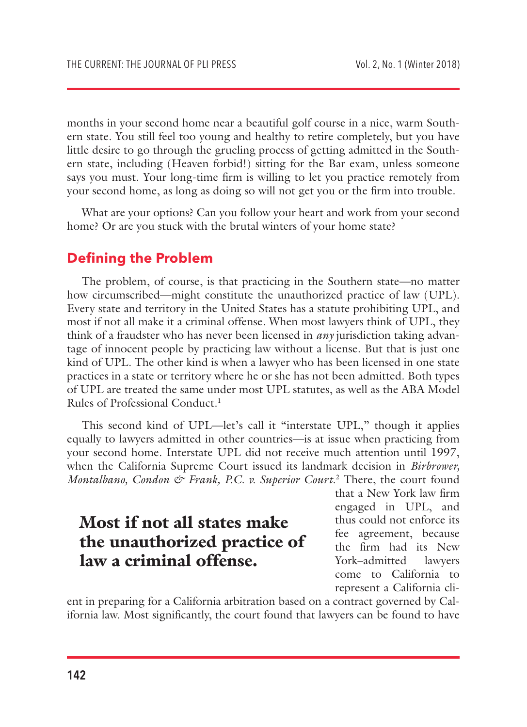months in your second home near a beautiful golf course in a nice, warm Southern state. You still feel too young and healthy to retire completely, but you have little desire to go through the grueling process of getting admitted in the Southern state, including (Heaven forbid!) sitting for the Bar exam, unless someone says you must. Your long-time firm is willing to let you practice remotely from your second home, as long as doing so will not get you or the firm into trouble.

What are your options? Can you follow your heart and work from your second home? Or are you stuck with the brutal winters of your home state?

#### **Defining the Problem**

The problem, of course, is that practicing in the Southern state—no matter how circumscribed—might constitute the unauthorized practice of law (UPL). Every state and territory in the United States has a statute prohibiting UPL, and most if not all make it a criminal offense. When most lawyers think of UPL, they think of a fraudster who has never been licensed in *any* jurisdiction taking advantage of innocent people by practicing law without a license. But that is just one kind of UPL. The other kind is when a lawyer who has been licensed in one state practices in a state or territory where he or she has not been admitted. Both types of UPL are treated the same under most UPL statutes, as well as the ABA Model Rules of Professional Conduct.<sup>1</sup>

This second kind of UPL—let's call it "interstate UPL," though it applies equally to lawyers admitted in other countries—is at issue when practicing from your second home. Interstate UPL did not receive much attention until 1997, when the California Supreme Court issued its landmark decision in *Birbrower,*  Montalbano, Condon & Frank, P.C. v. Superior Court.<sup>2</sup> There, the court found

### Most if not all states make the unauthorized practice of law a criminal offense.

that a New York law firm engaged in UPL, and thus could not enforce its fee agreement, because the firm had its New York–admitted lawyers come to California to represent a California cli-

ent in preparing for a California arbitration based on a contract governed by California law. Most significantly, the court found that lawyers can be found to have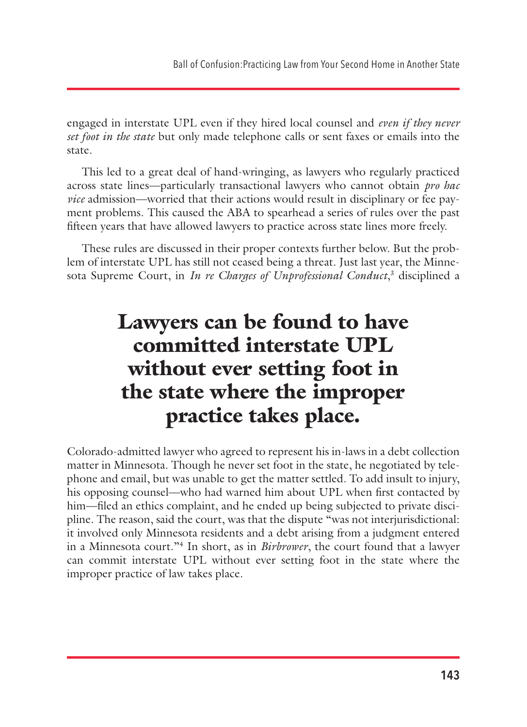engaged in interstate UPL even if they hired local counsel and *even if they never set foot in the state* but only made telephone calls or sent faxes or emails into the state.

This led to a great deal of hand-wringing, as lawyers who regularly practiced across state lines—particularly transactional lawyers who cannot obtain *pro hac vice* admission—worried that their actions would result in disciplinary or fee payment problems. This caused the ABA to spearhead a series of rules over the past fifteen years that have allowed lawyers to practice across state lines more freely.

These rules are discussed in their proper contexts further below. But the problem of interstate UPL has still not ceased being a threat. Just last year, the Minnesota Supreme Court, in *In re Charges of Unprofessional Conduct*,<sup>3</sup> disciplined a

# Lawyers can be found to have committed interstate UPL without ever setting foot in the state where the improper practice takes place.

Colorado-admitted lawyer who agreed to represent his in-laws in a debt collection matter in Minnesota. Though he never set foot in the state, he negotiated by telephone and email, but was unable to get the matter settled. To add insult to injury, his opposing counsel—who had warned him about UPL when first contacted by him—filed an ethics complaint, and he ended up being subjected to private discipline. The reason, said the court, was that the dispute "was not interjurisdictional: it involved only Minnesota residents and a debt arising from a judgment entered in a Minnesota court."4 In short, as in *Birbrower*, the court found that a lawyer can commit interstate UPL without ever setting foot in the state where the improper practice of law takes place.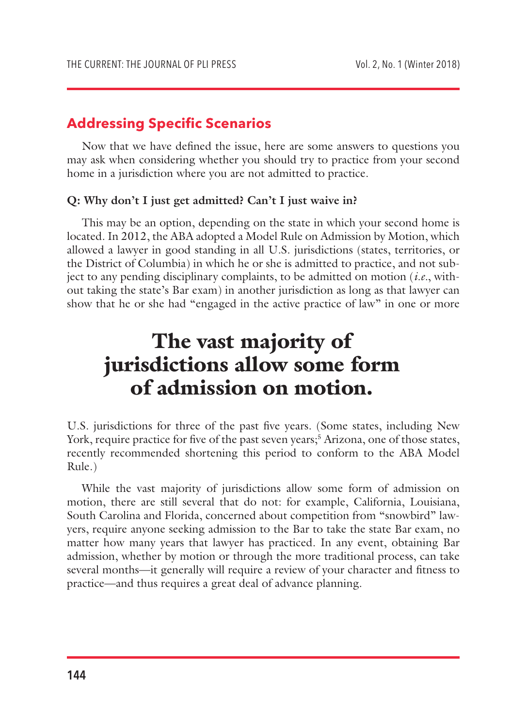#### **Addressing Specific Scenarios**

Now that we have defined the issue, here are some answers to questions you may ask when considering whether you should try to practice from your second home in a jurisdiction where you are not admitted to practice.

#### **Q: Why don't I just get admitted? Can't I just waive in?**

This may be an option, depending on the state in which your second home is located. In 2012, the ABA adopted a Model Rule on Admission by Motion, which allowed a lawyer in good standing in all U.S. jurisdictions (states, territories, or the District of Columbia) in which he or she is admitted to practice, and not subject to any pending disciplinary complaints, to be admitted on motion (*i.e.*, without taking the state's Bar exam) in another jurisdiction as long as that lawyer can show that he or she had "engaged in the active practice of law" in one or more

## The vast majority of jurisdictions allow some form of admission on motion.

U.S. jurisdictions for three of the past five years. (Some states, including New York, require practice for five of the past seven years;<sup>5</sup> Arizona, one of those states, recently recommended shortening this period to conform to the ABA Model Rule.)

While the vast majority of jurisdictions allow some form of admission on motion, there are still several that do not: for example, California, Louisiana, South Carolina and Florida, concerned about competition from "snowbird" lawyers, require anyone seeking admission to the Bar to take the state Bar exam, no matter how many years that lawyer has practiced. In any event, obtaining Bar admission, whether by motion or through the more traditional process, can take several months—it generally will require a review of your character and fitness to practice—and thus requires a great deal of advance planning.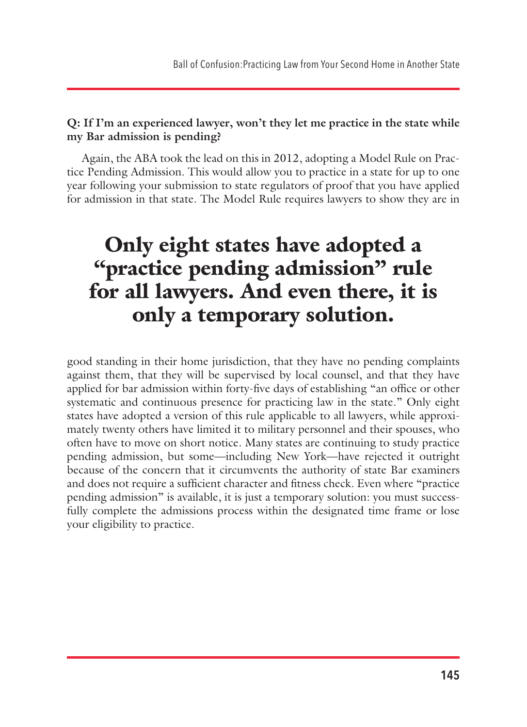#### **Q: If I'm an experienced lawyer, won't they let me practice in the state while my Bar admission is pending?**

Again, the ABA took the lead on this in 2012, adopting a Model Rule on Practice Pending Admission. This would allow you to practice in a state for up to one year following your submission to state regulators of proof that you have applied for admission in that state. The Model Rule requires lawyers to show they are in

# Only eight states have adopted a "practice pending admission" rule for all lawyers. And even there, it is only a temporary solution.

good standing in their home jurisdiction, that they have no pending complaints against them, that they will be supervised by local counsel, and that they have applied for bar admission within forty-five days of establishing "an office or other systematic and continuous presence for practicing law in the state." Only eight states have adopted a version of this rule applicable to all lawyers, while approximately twenty others have limited it to military personnel and their spouses, who often have to move on short notice. Many states are continuing to study practice pending admission, but some—including New York—have rejected it outright because of the concern that it circumvents the authority of state Bar examiners and does not require a sufficient character and fitness check. Even where "practice pending admission" is available, it is just a temporary solution: you must successfully complete the admissions process within the designated time frame or lose your eligibility to practice.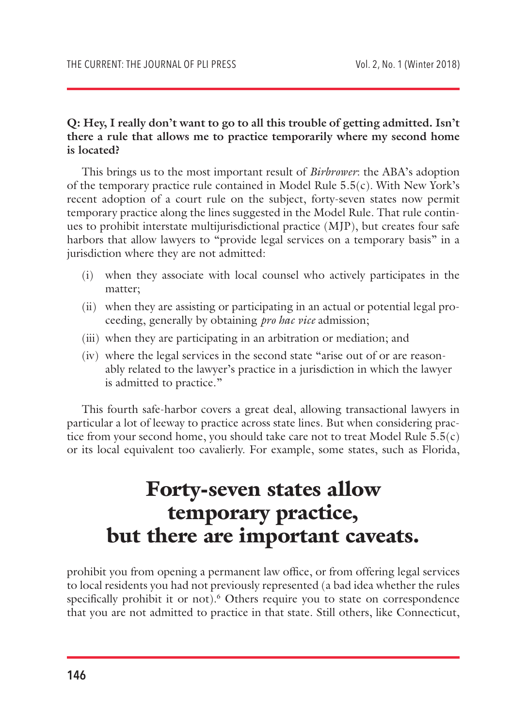#### **Q: Hey, I really don't want to go to all this trouble of getting admitted. Isn't there a rule that allows me to practice temporarily where my second home is located?**

This brings us to the most important result of *Birbrower*: the ABA's adoption of the temporary practice rule contained in Model Rule  $5.5(c)$ . With New York's recent adoption of a court rule on the subject, forty-seven states now permit temporary practice along the lines suggested in the Model Rule. That rule continues to prohibit interstate multijurisdictional practice (MJP), but creates four safe harbors that allow lawyers to "provide legal services on a temporary basis" in a jurisdiction where they are not admitted:

- (i) when they associate with local counsel who actively participates in the matter;
- (ii) when they are assisting or participating in an actual or potential legal proceeding, generally by obtaining *pro hac vice* admission;
- (iii) when they are participating in an arbitration or mediation; and
- (iv) where the legal services in the second state "arise out of or are reasonably related to the lawyer's practice in a jurisdiction in which the lawyer is admitted to practice."

This fourth safe-harbor covers a great deal, allowing transactional lawyers in particular a lot of leeway to practice across state lines. But when considering practice from your second home, you should take care not to treat Model Rule 5.5(c) or its local equivalent too cavalierly. For example, some states, such as Florida,

### Forty-seven states allow temporary practice, but there are important caveats.

prohibit you from opening a permanent law office, or from offering legal services to local residents you had not previously represented (a bad idea whether the rules specifically prohibit it or not).<sup>6</sup> Others require you to state on correspondence that you are not admitted to practice in that state. Still others, like Connecticut,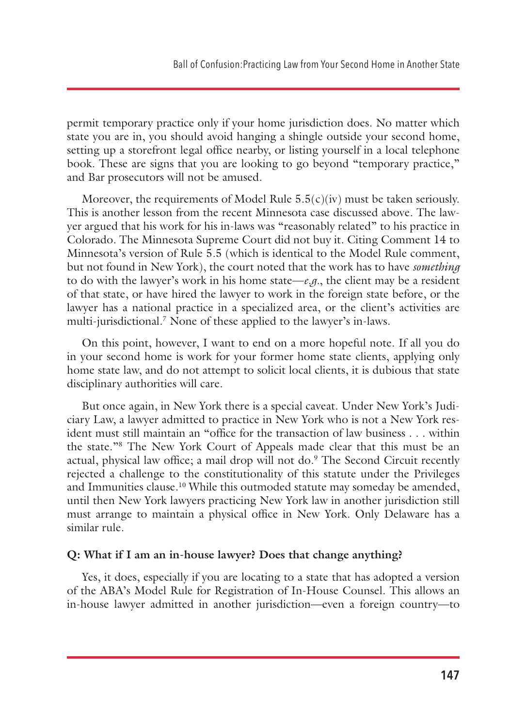permit temporary practice only if your home jurisdiction does. No matter which state you are in, you should avoid hanging a shingle outside your second home, setting up a storefront legal office nearby, or listing yourself in a local telephone book. These are signs that you are looking to go beyond "temporary practice," and Bar prosecutors will not be amused.

Moreover, the requirements of Model Rule  $5.5(c)(iv)$  must be taken seriously. This is another lesson from the recent Minnesota case discussed above. The lawyer argued that his work for his in-laws was "reasonably related" to his practice in Colorado. The Minnesota Supreme Court did not buy it. Citing Comment 14 to Minnesota's version of Rule 5.5 (which is identical to the Model Rule comment, but not found in New York), the court noted that the work has to have *something*  to do with the lawyer's work in his home state— $e.g.,$  the client may be a resident of that state, or have hired the lawyer to work in the foreign state before, or the lawyer has a national practice in a specialized area, or the client's activities are multi-jurisdictional.7 None of these applied to the lawyer's in-laws.

On this point, however, I want to end on a more hopeful note. If all you do in your second home is work for your former home state clients, applying only home state law, and do not attempt to solicit local clients, it is dubious that state disciplinary authorities will care.

But once again, in New York there is a special caveat. Under New York's Judiciary Law, a lawyer admitted to practice in New York who is not a New York resident must still maintain an "office for the transaction of law business . . . within the state."8 The New York Court of Appeals made clear that this must be an actual, physical law office; a mail drop will not do.<sup>9</sup> The Second Circuit recently rejected a challenge to the constitutionality of this statute under the Privileges and Immunities clause.<sup>10</sup> While this outmoded statute may someday be amended, until then New York lawyers practicing New York law in another jurisdiction still must arrange to maintain a physical office in New York. Only Delaware has a similar rule.

#### **Q: What if I am an in-house lawyer? Does that change anything?**

Yes, it does, especially if you are locating to a state that has adopted a version of the ABA's Model Rule for Registration of In-House Counsel. This allows an in-house lawyer admitted in another jurisdiction—even a foreign country—to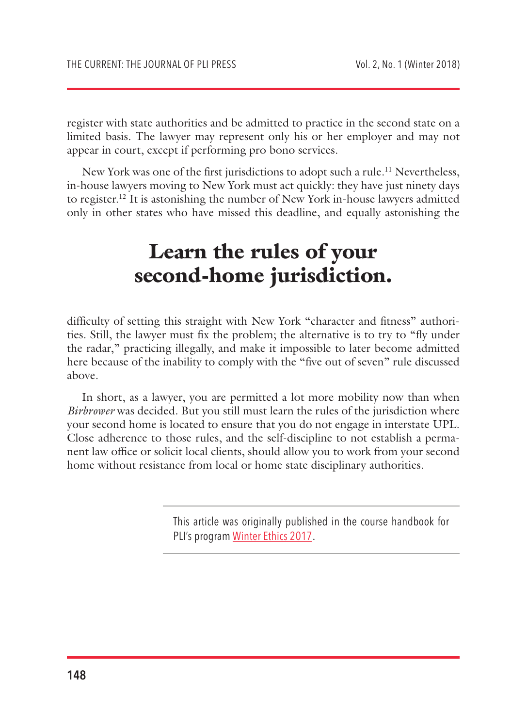register with state authorities and be admitted to practice in the second state on a limited basis. The lawyer may represent only his or her employer and may not appear in court, except if performing pro bono services.

New York was one of the first jurisdictions to adopt such a rule.<sup>11</sup> Nevertheless, in-house lawyers moving to New York must act quickly: they have just ninety days to register.12 It is astonishing the number of New York in-house lawyers admitted only in other states who have missed this deadline, and equally astonishing the

## Learn the rules of your second-home jurisdiction.

difficulty of setting this straight with New York "character and fitness" authorities. Still, the lawyer must fix the problem; the alternative is to try to "fly under the radar," practicing illegally, and make it impossible to later become admitted here because of the inability to comply with the "five out of seven" rule discussed above.

In short, as a lawyer, you are permitted a lot more mobility now than when *Birbrower* was decided. But you still must learn the rules of the jurisdiction where your second home is located to ensure that you do not engage in interstate UPL. Close adherence to those rules, and the self-discipline to not establish a permanent law office or solicit local clients, should allow you to work from your second home without resistance from local or home state disciplinary authorities.

> This article was originally published in the course handbook for PLI's program [Winter Ethics 2017](https://www.pli.edu/Content/CourseHandbook/Winter_Ethics_2017/_/N-4mZ1z10etx?ID=307534).